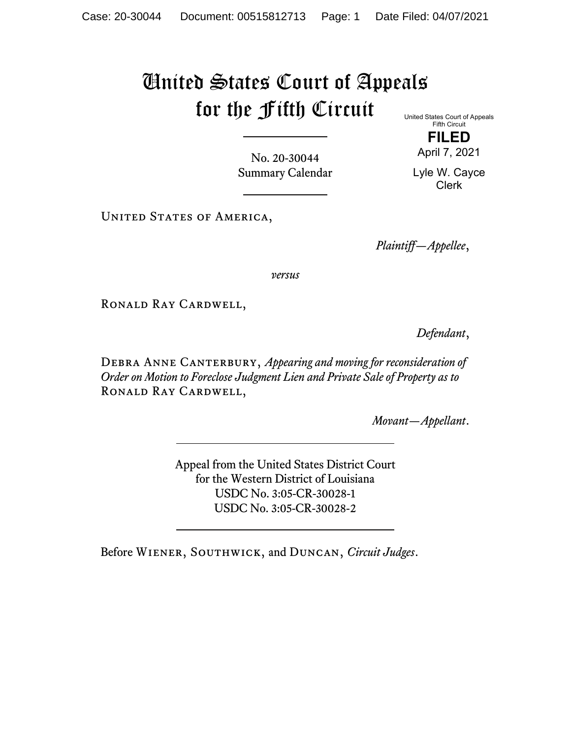## United States Court of Appeals for the Fifth Circuit

United States Court of Appeals Fifth Circuit

**FILED** April 7, 2021

No. 20-30044 Summary Calendar

Lyle W. Cayce Clerk

UNITED STATES OF AMERICA,

*Plaintiff—Appellee*,

*versus*

Ronald Ray Cardwell,

*Defendant*,

DEBRA ANNE CANTERBURY, *Appearing and moving for reconsideration of Order on Motion to Foreclose Judgment Lien and Private Sale of Property as to* Ronald Ray Cardwell,

*Movant—Appellant*.

Appeal from the United States District Court for the Western District of Louisiana USDC No. 3:05-CR-30028-1 USDC No. 3:05-CR-30028-2

Before Wiener, Southwick, and Duncan, *Circuit Judges*.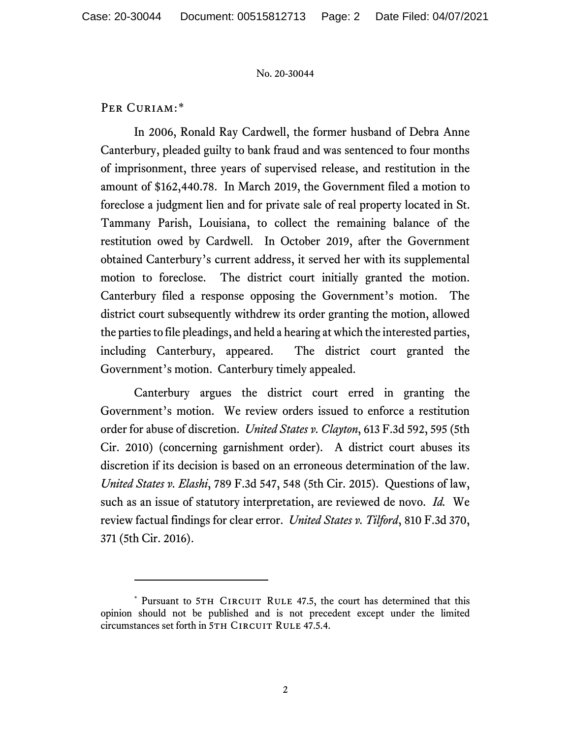PER CURIAM:[\\*](#page-1-0)

In 2006, Ronald Ray Cardwell, the former husband of Debra Anne Canterbury, pleaded guilty to bank fraud and was sentenced to four months of imprisonment, three years of supervised release, and restitution in the amount of \$162,440.78. In March 2019, the Government filed a motion to foreclose a judgment lien and for private sale of real property located in St. Tammany Parish, Louisiana, to collect the remaining balance of the restitution owed by Cardwell. In October 2019, after the Government obtained Canterbury's current address, it served her with its supplemental motion to foreclose. The district court initially granted the motion. Canterbury filed a response opposing the Government's motion. The district court subsequently withdrew its order granting the motion, allowed the parties to file pleadings, and held a hearing at which the interested parties, including Canterbury, appeared. The district court granted the Government's motion. Canterbury timely appealed.

Canterbury argues the district court erred in granting the Government's motion. We review orders issued to enforce a restitution order for abuse of discretion. *United States v. Clayton*, 613 F.3d 592, 595 (5th Cir. 2010) (concerning garnishment order). A district court abuses its discretion if its decision is based on an erroneous determination of the law. *United States v. Elashi*, 789 F.3d 547, 548 (5th Cir. 2015). Questions of law, such as an issue of statutory interpretation, are reviewed de novo. *Id.* We review factual findings for clear error. *United States v. Tilford*, 810 F.3d 370, 371 (5th Cir. 2016).

<span id="page-1-0"></span><sup>\*</sup> Pursuant to 5TH CIRCUIT RULE 47.5, the court has determined that this opinion should not be published and is not precedent except under the limited circumstances set forth in 5TH CIRCUIT RULE 47.5.4.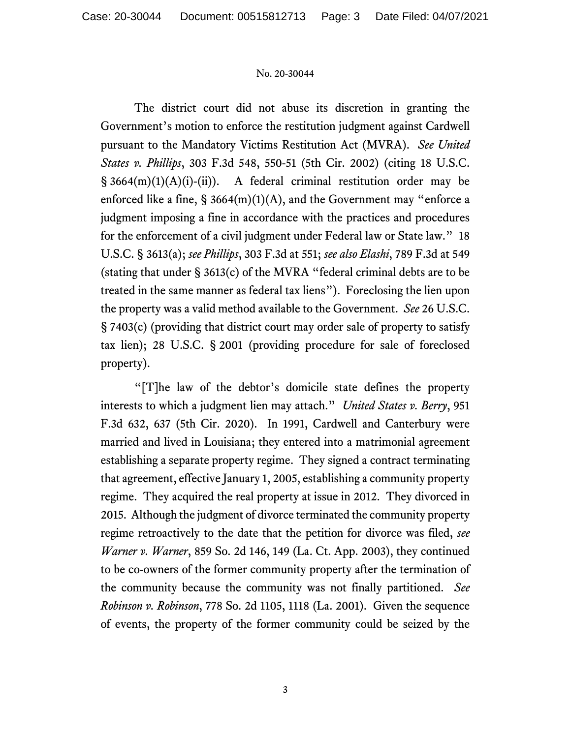The district court did not abuse its discretion in granting the Government's motion to enforce the restitution judgment against Cardwell pursuant to the Mandatory Victims Restitution Act (MVRA). *See United States v. Phillips*, 303 F.3d 548, 550-51 (5th Cir. 2002) (citing 18 U.S.C.  $\S$  3664(m)(1)(A)(i)-(ii)). A federal criminal restitution order may be enforced like a fine,  $\S 3664(m)(1)(A)$ , and the Government may "enforce a judgment imposing a fine in accordance with the practices and procedures for the enforcement of a civil judgment under Federal law or State law." 18 U.S.C. § 3613(a); *see Phillips*, 303 F.3d at 551; *see also Elashi*, 789 F.3d at 549 (stating that under § 3613(c) of the MVRA "federal criminal debts are to be treated in the same manner as federal tax liens"). Foreclosing the lien upon the property was a valid method available to the Government. *See* 26 U.S.C. § 7403(c) (providing that district court may order sale of property to satisfy tax lien); 28 U.S.C. § 2001 (providing procedure for sale of foreclosed property).

"[T]he law of the debtor's domicile state defines the property interests to which a judgment lien may attach." *United States v. Berry*, 951 F.3d 632, 637 (5th Cir. 2020). In 1991, Cardwell and Canterbury were married and lived in Louisiana; they entered into a matrimonial agreement establishing a separate property regime. They signed a contract terminating that agreement, effective January 1, 2005, establishing a community property regime. They acquired the real property at issue in 2012. They divorced in 2015. Although the judgment of divorce terminated the community property regime retroactively to the date that the petition for divorce was filed, *see Warner v. Warner*, 859 So. 2d 146, 149 (La. Ct. App. 2003), they continued to be co-owners of the former community property after the termination of the community because the community was not finally partitioned. *See Robinson v. Robinson*, 778 So. 2d 1105, 1118 (La. 2001). Given the sequence of events, the property of the former community could be seized by the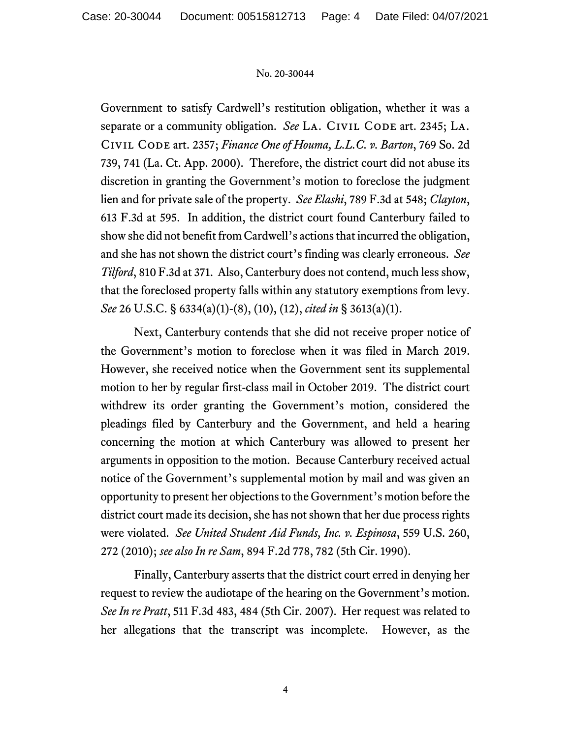Government to satisfy Cardwell's restitution obligation, whether it was a separate or a community obligation. *See* LA. CIVIL CODE art. 2345; LA. Civil Code art. 2357; *Finance One of Houma, L.L.C. v. Barton*, 769 So. 2d 739, 741 (La. Ct. App. 2000). Therefore, the district court did not abuse its discretion in granting the Government's motion to foreclose the judgment lien and for private sale of the property. *See Elashi*, 789 F.3d at 548; *Clayton*, 613 F.3d at 595. In addition, the district court found Canterbury failed to show she did not benefit from Cardwell's actions that incurred the obligation, and she has not shown the district court's finding was clearly erroneous. *See Tilford*, 810 F.3d at 371. Also, Canterbury does not contend, much less show, that the foreclosed property falls within any statutory exemptions from levy. *See* 26 U.S.C. § 6334(a)(1)-(8), (10), (12), *cited in* § 3613(a)(1).

Next, Canterbury contends that she did not receive proper notice of the Government's motion to foreclose when it was filed in March 2019. However, she received notice when the Government sent its supplemental motion to her by regular first-class mail in October 2019. The district court withdrew its order granting the Government's motion, considered the pleadings filed by Canterbury and the Government, and held a hearing concerning the motion at which Canterbury was allowed to present her arguments in opposition to the motion. Because Canterbury received actual notice of the Government's supplemental motion by mail and was given an opportunity to present her objections to the Government's motion before the district court made its decision, she has not shown that her due process rights were violated. *See United Student Aid Funds, Inc. v. Espinosa*, 559 U.S. 260, 272 (2010); *see also In re Sam*, 894 F.2d 778, 782 (5th Cir. 1990).

Finally, Canterbury asserts that the district court erred in denying her request to review the audiotape of the hearing on the Government's motion. *See In re Pratt*, 511 F.3d 483, 484 (5th Cir. 2007). Her request was related to her allegations that the transcript was incomplete. However, as the